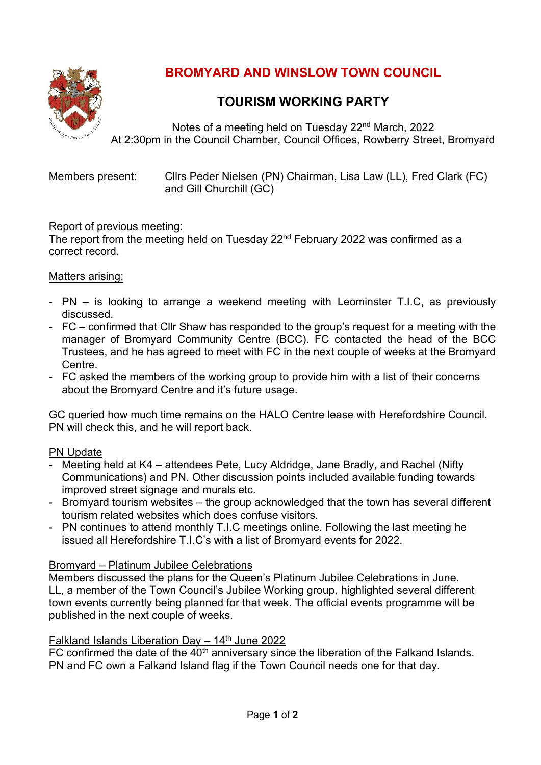

# **BROMYARD AND WINSLOW TOWN COUNCIL**

# **TOURISM WORKING PARTY**

Notes of a meeting held on Tuesday 22<sup>nd</sup> March, 2022 At 2:30pm in the Council Chamber, Council Offices, Rowberry Street, Bromyard

| Members present: | Cllrs Peder Nielsen (PN) Chairman, Lisa Law (LL), Fred Clark (FC)<br>and Gill Churchill (GC) |
|------------------|----------------------------------------------------------------------------------------------|
|                  |                                                                                              |

### Report of previous meeting:

The report from the meeting held on Tuesday 22<sup>nd</sup> February 2022 was confirmed as a correct record.

### Matters arising:

- PN is looking to arrange a weekend meeting with Leominster T.I.C, as previously discussed.
- FC confirmed that Cllr Shaw has responded to the group's request for a meeting with the manager of Bromyard Community Centre (BCC). FC contacted the head of the BCC Trustees, and he has agreed to meet with FC in the next couple of weeks at the Bromyard Centre.
- FC asked the members of the working group to provide him with a list of their concerns about the Bromyard Centre and it's future usage.

GC queried how much time remains on the HALO Centre lease with Herefordshire Council. PN will check this, and he will report back.

#### PN Update

- Meeting held at K4 attendees Pete, Lucy Aldridge, Jane Bradly, and Rachel (Nifty Communications) and PN. Other discussion points included available funding towards improved street signage and murals etc.
- Bromyard tourism websites the group acknowledged that the town has several different tourism related websites which does confuse visitors.
- PN continues to attend monthly T.I.C meetings online. Following the last meeting he issued all Herefordshire T.I.C's with a list of Bromyard events for 2022.

# Bromyard – Platinum Jubilee Celebrations

Members discussed the plans for the Queen's Platinum Jubilee Celebrations in June. LL, a member of the Town Council's Jubilee Working group, highlighted several different town events currently being planned for that week. The official events programme will be published in the next couple of weeks.

#### Falkland Islands Liberation Day  $-14<sup>th</sup>$  June 2022

 $FC$  confirmed the date of the  $40<sup>th</sup>$  anniversary since the liberation of the Falkand Islands. PN and FC own a Falkand Island flag if the Town Council needs one for that day.